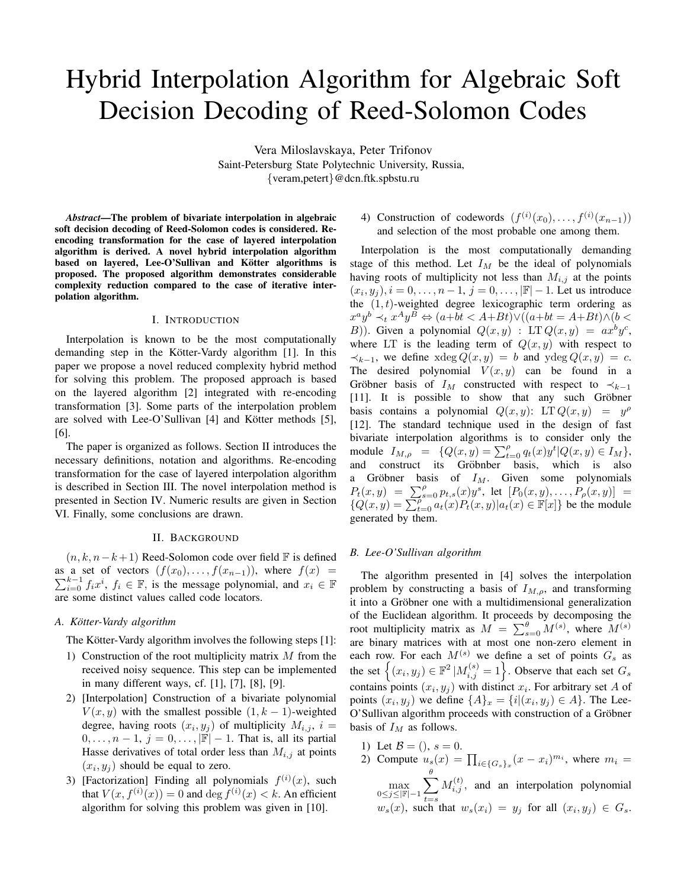# Hybrid Interpolation Algorithm for Algebraic Soft Decision Decoding of Reed-Solomon Codes

Vera Miloslavskaya, Peter Trifonov Saint-Petersburg State Polytechnic University, Russia, *{*veram,petert*}*@dcn.ftk.spbstu.ru

*Abstract*—The problem of bivariate interpolation in algebraic soft decision decoding of Reed-Solomon codes is considered. Reencoding transformation for the case of layered interpolation algorithm is derived. A novel hybrid interpolation algorithm based on layered, Lee-O'Sullivan and Kötter algorithms is proposed. The proposed algorithm demonstrates considerable complexity reduction compared to the case of iterative interpolation algorithm.

# I. INTRODUCTION

Interpolation is known to be the most computationally demanding step in the Kötter-Vardy algorithm [1]. In this paper we propose a novel reduced complexity hybrid method for solving this problem. The proposed approach is based on the layered algorithm [2] integrated with re-encoding transformation [3]. Some parts of the interpolation problem are solved with Lee-O'Sullivan  $[4]$  and Kötter methods  $[5]$ , [6].

The paper is organized as follows. Section II introduces the necessary definitions, notation and algorithms. Re-encoding transformation for the case of layered interpolation algorithm is described in Section III. The novel interpolation method is presented in Section IV. Numeric results are given in Section VI. Finally, some conclusions are drawn.

#### II. BACKGROUND

(*n, k, n−k*+ 1) Reed-Solomon code over field F is defined as a set of vectors  $(f(x_0),...,f(x_{n-1}))$ , where  $f(x) =$  $\sum_{i=0}^{k-1} f_i x^i$ ,  $f_i \in \mathbb{F}$ , is the message polynomial, and  $x_i \in \mathbb{F}$ are some distinct values called code locators.

# *A. Kotter-Vardy algorithm ¨*

The Kötter-Vardy algorithm involves the following steps [1]:

- 1) Construction of the root multiplicity matrix *M* from the received noisy sequence. This step can be implemented in many different ways, cf. [1], [7], [8], [9].
- 2) [Interpolation] Construction of a bivariate polynomial *V*(*x, y*) with the smallest possible  $(1, k - 1)$ -weighted degree, having roots  $(x_i, y_j)$  of multiplicity  $M_{i,j}$ ,  $i =$ 0*, . . . , n −* 1, *j* = 0*, . . . , |*F*| −* 1. That is, all its partial Hasse derivatives of total order less than  $M_{i,j}$  at points  $(x_i, y_j)$  should be equal to zero.
- 3) [Factorization] Finding all polynomials  $f^{(i)}(x)$ , such that  $V(x, f^{(i)}(x)) = 0$  and  $\deg f^{(i)}(x) < k$ . An efficient algorithm for solving this problem was given in [10].

# 4) Construction of codewords  $(f^{(i)}(x_0), \ldots, f^{(i)}(x_{n-1}))$ and selection of the most probable one among them.

Interpolation is the most computationally demanding stage of this method. Let *I<sup>M</sup>* be the ideal of polynomials having roots of multiplicity not less than  $M_{i,j}$  at the points  $(x_i, y_j), i = 0, \ldots, n - 1, j = 0, \ldots, |\mathbb{F}| - 1$ . Let us introduce the (1*, t*)-weighted degree lexicographic term ordering as  $x^a y^b \prec_t x^A y^B \Leftrightarrow (a+bt < A+Bt) \lor ((a+bt = A+Bt) \land (b <$ *B*)). Given a polynomial  $Q(x, y)$ : LT  $Q(x, y) = ax^b y^c$ , where LT is the leading term of  $Q(x, y)$  with respect to  $\prec$ <sub>*k*−1</sub>, we define xdeg  $Q(x, y) = b$  and ydeg  $Q(x, y) = c$ . The desired polynomial  $V(x, y)$  can be found in a Gröbner basis of  $I_M$  constructed with respect to  $\prec_{k-1}$  $[11]$ . It is possible to show that any such Gröbner basis contains a polynomial  $Q(x, y)$ : LT  $Q(x, y) = y^{\rho}$ [12]. The standard technique used in the design of fast bivariate interpolation algorithms is to consider only the module  $I_{M,\rho}$  =  $\{Q(x,y) = \sum_{t=0}^{\rho} q_t(x) y^t | Q(x,y) \in I_M \},$ and construct its Gröbnber basis, which is also a Gröbner basis of  $I_M$ . Given some polynomials  $P_t(x,y) = \sum_{s=0}^{\rho} p_{t,s}(x) y^s$ , let  $[P_0(x,y), \ldots, P_{\rho}(x,y)] =$  ${Q(x,y) = \sum_{t=0}^{p} a_t(x) P_t(x,y) | a_t(x) \in \mathbb{F}[x] }$  be the module generated by them.

# *B. Lee-O'Sullivan algorithm*

The algorithm presented in [4] solves the interpolation problem by constructing a basis of *IM,ρ*, and transforming it into a Gröbner one with a multidimensional generalization of the Euclidean algorithm. It proceeds by decomposing the root multiplicity matrix as  $M = \sum_{s=0}^{\theta} M^{(s)}$ , where  $M^{(s)}$ are binary matrices with at most one non-zero element in each row. For each  $M^{(s)}$  we define a set of points  $G_s$  as the set  $\left\{ (x_i, y_j) \in \mathbb{F}^2 \, | M_{i,j}^{(s)} = 1 \right\}$ . Observe that each set  $G_s$ contains points  $(x_i, y_j)$  with distinct  $x_i$ . For arbitrary set *A* of points  $(x_i, y_j)$  we define  $\{A\}_x = \{i | (x_i, y_j) \in A\}$ . The Lee-O'Sullivan algorithm proceeds with construction of a Gröbner basis of  $I_M$  as follows.

- 1) Let  $B = ($ ,  $s = 0$ .
- 2) Compute  $u_s(x) = \prod_{i \in \{G_s\}_x} (x x_i)^{m_i}$ , where  $m_i =$ max 0*≤j≤|*F*|−*1 ∑ *θ t*=*s*  $M_{i,j}^{(t)}$ , and an interpolation polynomial  $w_s(x)$ , such that  $w_s(x_i) = y_j$  for all  $(x_i, y_j) \in G_s$ .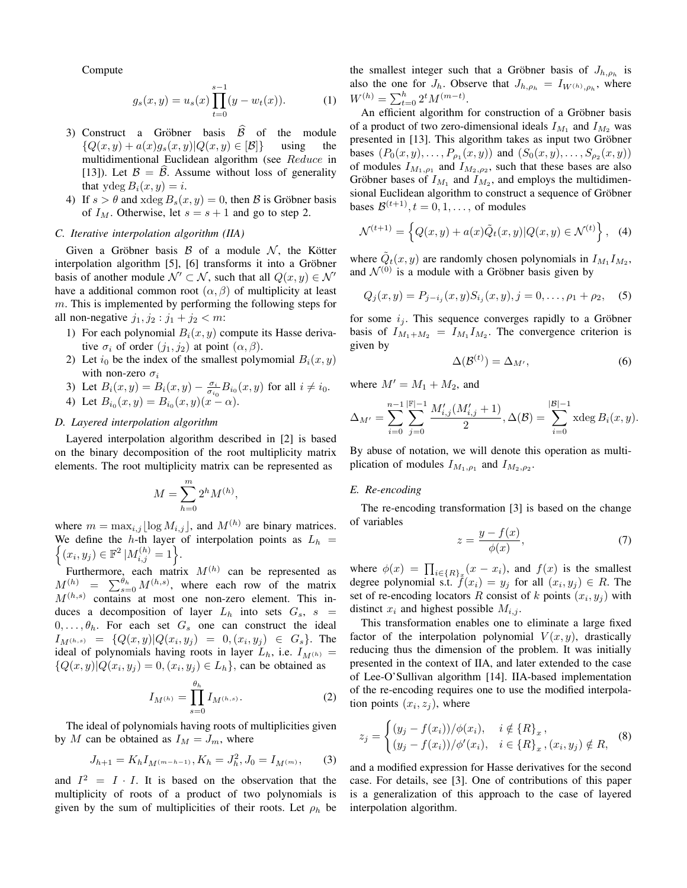Compute

$$
g_s(x,y) = u_s(x) \prod_{t=0}^{s-1} (y - w_t(x)).
$$
 (1)

- 3) Construct a Gröbner basis  $\hat{\mathcal{B}}$  of the module  $\{Q(x, y) + a(x)g_s(x, y)|Q(x, y) \in |\mathcal{B}|\}$  using the  $\{Q(x, y) + a(x)g_s(x, y)|Q(x, y) \in [B]\}$ multidimentional Euclidean algorithm (see *Reduce* in [13]). Let  $\beta = \beta$ . Assume without loss of generality that  $y \deg B_i(x, y) = i$ .
- 4) If  $s > \theta$  and xdeg  $B_s(x, y) = 0$ , then  $\beta$  is Gröbner basis of  $I_M$ . Otherwise, let  $s = s + 1$  and go to step 2.

# *C. Iterative interpolation algorithm (IIA)*

Given a Gröbner basis  $\beta$  of a module  $\mathcal{N}$ , the Kötter interpolation algorithm [5], [6] transforms it into a Gröbner basis of another module  $\mathcal{N}' \subset \mathcal{N}$ , such that all  $Q(x, y) \in \mathcal{N}'$ have a additional common root  $(\alpha, \beta)$  of multiplicity at least *m*. This is implemented by performing the following steps for all non-negative  $j_1, j_2 : j_1 + j_2 < m$ :

- 1) For each polynomial  $B_i(x, y)$  compute its Hasse derivative  $\sigma_i$  of order  $(j_1, j_2)$  at point  $(\alpha, \beta)$ .
- 2) Let  $i_0$  be the index of the smallest polymomial  $B_i(x, y)$ with non-zero *σ<sup>i</sup>*
- 3) Let  $B_i(x, y) = B_i(x, y) \frac{\sigma_i}{\sigma_{i_0}} B_{i_0}(x, y)$  for all  $i \neq i_0$ .
- 4) Let  $B_{i_0}(x, y) = B_{i_0}(x, y)(x \alpha)$ .

# *D. Layered interpolation algorithm*

Layered interpolation algorithm described in [2] is based on the binary decomposition of the root multiplicity matrix elements. The root multiplicity matrix can be represented as

$$
M = \sum_{h=0}^{m} 2^h M^{(h)},
$$

where  $m = \max_{i,j} \lfloor \log M_{i,j} \rfloor$ , and  $M^{(h)}$  are binary matrices. We define the {  $h$ -th layer of interpolation points as  $L_h =$  $(x_i, y_j) \in \mathbb{F}^2 \, |M_{i,j}^{(h)} = 1 \Big\}.$ 

Furthermore, each matrix  $M^{(h)}$  can be represented as  $M_{(h)}^{(h)} = \sum_{s=0}^{\theta_h} M^{(h,s)}$ , where each row of the matrix  $M^{(h,s)}$  contains at most one non-zero element. This induces a decomposition of layer  $L_h$  into sets  $G_s$ ,  $s =$  $0, \ldots, \theta_h$ . For each set  $G_s$  one can construct the ideal  $I_{M^{(h,s)}} = \{Q(x,y)|Q(x_i,y_j) = 0, (x_i,y_j) \in G_s\}$ . The ideal of polynomials having roots in layer  $L_h$ , i.e.  $I_{M(h)} =$  $\{Q(x, y)|Q(x_i, y_j) = 0, (x_i, y_j) \in L_h\}$ , can be obtained as

$$
I_{M^{(h)}} = \prod_{s=0}^{\theta_h} I_{M^{(h,s)}}.
$$
 (2)

The ideal of polynomials having roots of multiplicities given by *M* can be obtained as  $I_M = J_m$ , where

$$
J_{h+1} = K_h I_{M^{(m-h-1)}}, K_h = J_h^2, J_0 = I_{M^{(m)}},
$$
 (3)

and  $I^2 = I \cdot I$ . It is based on the observation that the multiplicity of roots of a product of two polynomials is given by the sum of multiplicities of their roots. Let *ρ<sup>h</sup>* be the smallest integer such that a Gröbner basis of  $J_{h,\rho_h}$  is also the one for  $J_h$ . Observe that  $J_{h,\rho_h} = I_{W^{(h)},\rho_h}$ , where  $W^{(h)} = \sum_{t=0}^{h} 2^t M^{(m-t)}$ .

An efficient algorithm for construction of a Gröbner basis of a product of two zero-dimensional ideals  $I_{M_1}$  and  $I_{M_2}$  was presented in [13]. This algorithm takes as input two Gröbner bases  $(P_0(x, y), \ldots, P_{p_1}(x, y))$  and  $(S_0(x, y), \ldots, S_{p_2}(x, y))$ of modules  $I_{M_1,\rho_1}$  and  $I_{M_2,\rho_2}$ , such that these bases are also Gröbner bases of  $I_{M_1}$  and  $I_{M_2}$ , and employs the multidimensional Euclidean algorithm to construct a sequence of Gröbner bases  $\mathcal{B}^{(t+1)}$ ,  $t = 0, 1, \dots$ , of modules

$$
\mathcal{N}^{(t+1)} = \left\{ Q(x, y) + a(x)\tilde{Q}_t(x, y) | Q(x, y) \in \mathcal{N}^{(t)} \right\}, \quad (4)
$$

where  $\tilde{Q}_t(x, y)$  are randomly chosen polynomials in  $I_{M_1}I_{M_2}$ , and  $\mathcal{N}^{(0)}$  is a module with a Gröbner basis given by

$$
Q_j(x,y) = P_{j-i_j}(x,y)S_{i_j}(x,y), j = 0,\ldots, \rho_1 + \rho_2,\quad (5)
$$

for some  $i_j$ . This sequence converges rapidly to a Gröbner basis of  $I_{M_1+M_2} = I_{M_1}I_{M_2}$ . The convergence criterion is given by  $\lambda$ <sup>2</sup>

$$
\Delta(\mathcal{B}^{(t)}) = \Delta_{M'},\tag{6}
$$

where  $M' = M_1 + M_2$ , and

$$
\Delta_{M'} = \sum_{i=0}^{n-1} \sum_{j=0}^{|\mathbb{F}|-1} \frac{M'_{i,j}(M'_{i,j}+1)}{2}, \Delta(\mathcal{B}) = \sum_{i=0}^{|\mathcal{B}|-1} \text{xdeg } B_i(x, y).
$$

By abuse of notation, we will denote this operation as multiplication of modules  $I_{M_1,\rho_1}$  and  $I_{M_2,\rho_2}$ .

#### *E. Re-encoding*

The re-encoding transformation [3] is based on the change of variables

$$
z = \frac{y - f(x)}{\phi(x)},\tag{7}
$$

where  $\phi(x) = \prod_{i \in \{R\}_x} (x - x_i)$ , and  $f(x)$  is the smallest degree polynomial s.t.  $f(x_i) = y_j$  for all  $(x_i, y_j) \in R$ . The set of re-encoding locators *R* consist of *k* points  $(x_i, y_j)$  with distinct  $x_i$  and highest possible  $M_{i,j}$ .

This transformation enables one to eliminate a large fixed factor of the interpolation polynomial  $V(x, y)$ , drastically reducing thus the dimension of the problem. It was initially presented in the context of IIA, and later extended to the case of Lee-O'Sullivan algorithm [14]. IIA-based implementation of the re-encoding requires one to use the modified interpolation points  $(x_i, z_j)$ , where

$$
z_j = \begin{cases} (y_j - f(x_i))/\phi(x_i), & i \notin \{R\}_x, \\ (y_j - f(x_i))/\phi'(x_i), & i \in \{R\}_x, (x_i, y_j) \notin R, \end{cases}
$$
 (8)

and a modified expression for Hasse derivatives for the second case. For details, see [3]. One of contributions of this paper is a generalization of this approach to the case of layered interpolation algorithm.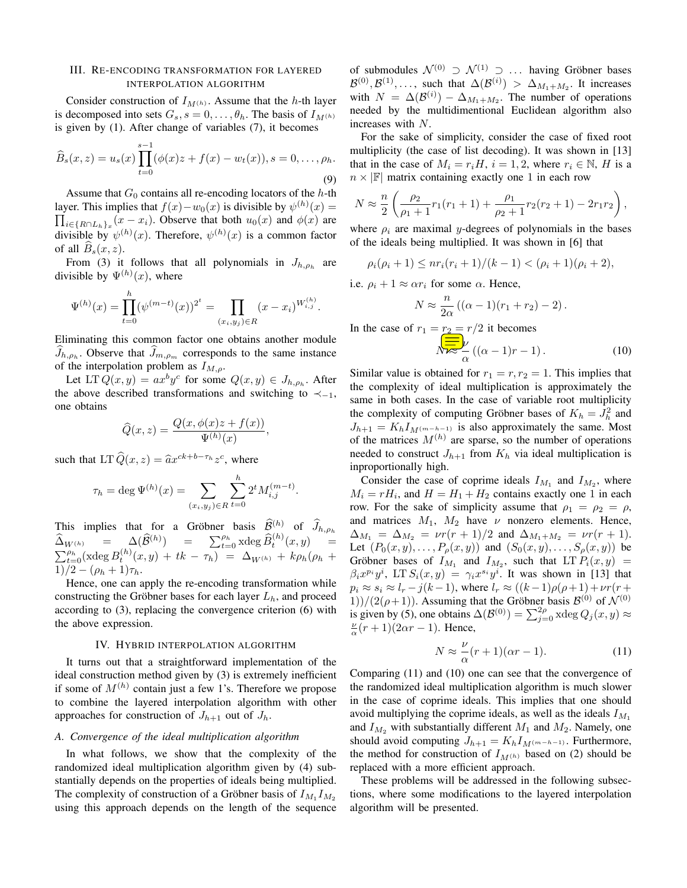# III. RE-ENCODING TRANSFORMATION FOR LAYERED INTERPOLATION ALGORITHM

Consider construction of  $I_{M(h)}$ . Assume that the *h*-th layer is decomposed into sets  $G_s$ ,  $s = 0, \ldots, \theta_h$ . The basis of  $I_{M(h)}$ is given by (1). After change of variables (7), it becomes

$$
\widehat{B}_s(x,z) = u_s(x) \prod_{t=0}^{s-1} (\phi(x)z + f(x) - w_t(x)), s = 0, \dots, \rho_h.
$$
\n(9)

Assume that  $G_0$  contains all re-encoding locators of the  $h$ -th layer. This implies that  $f(x) - w_0(x)$  is divisible by  $\psi^{(h)}(x) =$  $\prod_{i \in \{R \cap L_h\}_x} (x - x_i)$ . Observe that both  $u_0(x)$  and  $\phi(x)$  are divisible by  $\psi^{(h)}(x)$ . Therefore,  $\psi^{(h)}(x)$  is a common factor of all  $B_s(x, z)$ .

From (3) it follows that all polynomials in  $J_{h,\rho_h}$  are divisible by  $\Psi^{(h)}(x)$ , where

$$
\Psi^{(h)}(x) = \prod_{t=0}^{h} (\psi^{(m-t)}(x))^{2^t} = \prod_{(x_i, y_j) \in R} (x - x_i)^{W_{i,j}^{(h)}}.
$$

Eliminating this common factor one obtains another module  $J_{h,\rho_h}$ . Observe that  $J_{m,\rho_h}$  corresponds to the same instance of the interpolation problem as *IM,ρ*.

Let  $LT Q(x, y) = ax^b y^c$  for some  $Q(x, y) \in J_{h, \rho_h}$ . After the above described transformations and switching to *≺−*<sup>1</sup>, one obtains

$$
\widehat{Q}(x,z) = \frac{Q(x,\phi(x)z + f(x))}{\Psi^{(h)}(x)},
$$

such that LT  $\hat{Q}(x, z) = \hat{a}x^{ck+b-\tau_h}z^c$ , where

$$
\tau_h = \deg \Psi^{(h)}(x) = \sum_{(x_i, y_j) \in R} \sum_{t=0}^h 2^t M_{i,j}^{(m-t)}.
$$

This implies that for a Gröbner basis  $\widehat{\mathcal{B}}^{(h)}$  of  $\widehat{J}_{h,\rho_h}$  $\widehat{\Delta}_{W^{(h)}} = \Delta(\widehat{\mathcal{B}}^{(h)}) = \sum_{t=0}^{h} \operatorname{xdeg} \widehat{B}_t^{(h)}(x, y) =$  $\sum_{t=0}^{\rho_h}$ (xdeg  $B_t^{(h)}(x, y) + tk - \tau_h$ ) =  $\Delta_{W^{(h)}} + k\rho_h(\rho_h +$  $1)/2 - (\rho_h + 1)\tau_h$ .

Hence, one can apply the re-encoding transformation while constructing the Gröbner bases for each layer  $L_h$ , and proceed according to (3), replacing the convergence criterion (6) with the above expression.

#### IV. HYBRID INTERPOLATION ALGORITHM

It turns out that a straightforward implementation of the ideal construction method given by (3) is extremely inefficient if some of *M*(*h*) contain just a few 1's. Therefore we propose to combine the layered interpolation algorithm with other approaches for construction of  $J_{h+1}$  out of  $J_h$ .

## *A. Convergence of the ideal multiplication algorithm*

In what follows, we show that the complexity of the randomized ideal multiplication algorithm given by (4) substantially depends on the properties of ideals being multiplied. The complexity of construction of a Gröbner basis of  $I_{M_1}I_{M_2}$ using this approach depends on the length of the sequence

of submodules  $\mathcal{N}^{(0)} \supset \mathcal{N}^{(1)} \supset \dots$  having Gröbner bases  $\mathcal{B}^{(0)}, \mathcal{B}^{(1)}, \ldots$ , such that  $\Delta(\mathcal{B}^{(i)}) > \Delta_{M_1+M_2}$ . It increases with  $N = \Delta(\mathcal{B}^{(i)}) - \Delta_{M_1 + M_2}$ . The number of operations needed by the multidimentional Euclidean algorithm also increases with *N*.

For the sake of simplicity, consider the case of fixed root multiplicity (the case of list decoding). It was shown in [13] that in the case of  $M_i = r_i H$ ,  $i = 1, 2$ , where  $r_i \in \mathbb{N}$ , *H* is a  $n \times |F|$  matrix containing exactly one 1 in each row

$$
N \approx \frac{n}{2} \left( \frac{\rho_2}{\rho_1 + 1} r_1 (r_1 + 1) + \frac{\rho_1}{\rho_2 + 1} r_2 (r_2 + 1) - 2r_1 r_2 \right),
$$

where  $\rho_i$  are maximal *y*-degrees of polynomials in the bases of the ideals being multiplied. It was shown in [6] that

 $\rho_i(\rho_i+1) \leq nr_i(r_i+1)/(k-1) < (\rho_i+1)(\rho_i+2)$ ,

i.e.  $\rho_i + 1 \approx \alpha r_i$  for some  $\alpha$ . Hence,

$$
N \approx \frac{n}{2\alpha} ((\alpha - 1)(r_1 + r_2) - 2).
$$

In the case of  $r_1 = r_2 = r/2$  it becomes

*N ≈ ν α* ((*α −* 1)*r −* 1)*.* (10)

Similar value is obtained for  $r_1 = r, r_2 = 1$ . This implies that the complexity of ideal multiplication is approximately the same in both cases. In the case of variable root multiplicity the complexity of computing Gröbner bases of  $K_h = J_h^2$  and  $J_{h+1} = K_h I_{M(m-h-1)}$  is also approximately the same. Most of the matrices  $M^{(h)}$  are sparse, so the number of operations needed to construct  $J_{h+1}$  from  $K_h$  via ideal multiplication is inproportionally high.

Consider the case of coprime ideals  $I_{M_1}$  and  $I_{M_2}$ , where  $M_i = rH_i$ , and  $H = H_1 + H_2$  contains exactly one 1 in each row. For the sake of simplicity assume that  $\rho_1 = \rho_2 = \rho$ , and matrices  $M_1$ ,  $M_2$  have  $\nu$  nonzero elements. Hence,  $\Delta_{M_1} = \Delta_{M_2} = \nu r (r+1)/2$  and  $\Delta_{M_1+M_2} = \nu r (r+1)$ . Let  $(P_0(x, y), \ldots, P_\rho(x, y))$  and  $(S_0(x, y), \ldots, S_\rho(x, y))$  be Gröbner bases of  $I_{M_1}$  and  $I_{M_2}$ , such that  $LT P_i(x, y)$  =  $\beta_i x^{p_i} y^i$ , LT  $S_i(x, y) = \gamma_i x^{s_i} y^i$ . It was shown in [13] that  $p_i \approx s_i \approx l_r - j(k-1)$ , where  $l_r \approx ((k-1)\rho(\rho+1)+\nu r(r+1))$  $1)$ /(2( $\rho$ +1)). Assuming that the Gröbner basis  $\mathcal{B}^{(0)}$  of  $\mathcal{N}^{(0)}$ is given by (5), one obtains  $\Delta(\mathcal{B}^{(0)}) = \sum_{j=0}^{2\rho} x \text{deg } Q_j(x, y) \approx$  $\frac{\nu}{\alpha}(r+1)(2\alpha r-1)$ . Hence,

$$
N \approx \frac{\nu}{\alpha}(r+1)(\alpha r - 1). \tag{11}
$$

Comparing (11) and (10) one can see that the convergence of the randomized ideal multiplication algorithm is much slower in the case of coprime ideals. This implies that one should avoid multiplying the coprime ideals, as well as the ideals  $I_{M_1}$ and  $I_{M_2}$  with substantially different  $M_1$  and  $M_2$ . Namely, one should avoid computing  $J_{h+1} = K_h I_{M(m-h-1)}$ . Furthermore, the method for construction of  $I_{M(h)}$  based on (2) should be replaced with a more efficient approach.

These problems will be addressed in the following subsections, where some modifications to the layered interpolation algorithm will be presented.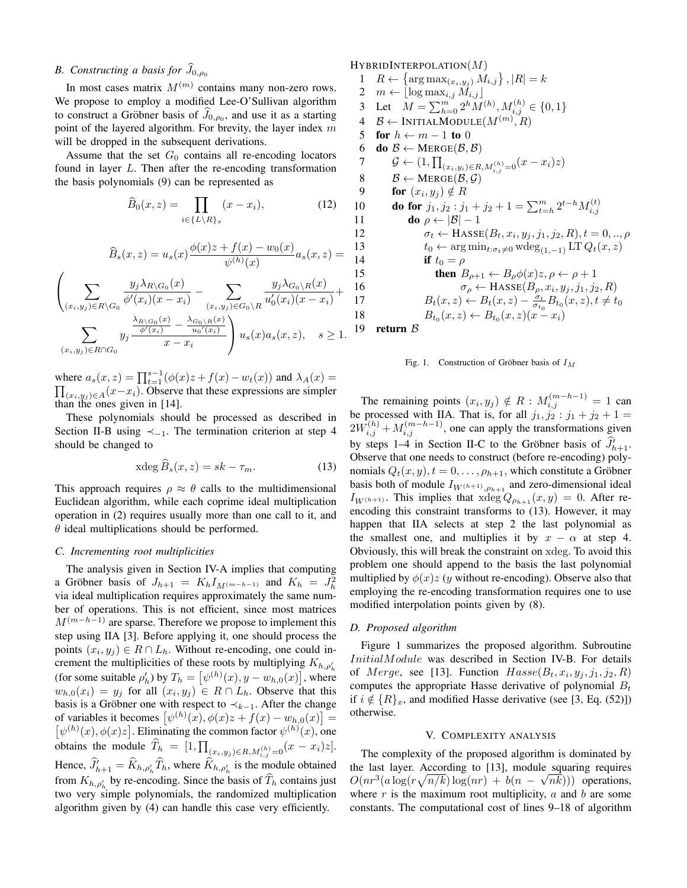# *B. Constructing a basis for*  $\widehat{J}_{0,\rho_0}$

In most cases matrix  $M^{(m)}$  contains many non-zero rows. We propose to employ a modified Lee-O'Sullivan algorithm to construct a Gröbner basis of  $J_{0,\rho_0}$ , and use it as a starting point of the layered algorithm. For brevity, the layer index *m* will be dropped in the subsequent derivations.

Assume that the set  $G_0$  contains all re-encoding locators found in layer *L*. Then after the re-encoding transformation the basis polynomials (9) can be represented as

$$
\widehat{B}_0(x,z) = \prod_{i \in \{L \setminus R\}_x} (x - x_i),\tag{12}
$$

$$
\widehat{B}_s(x,z) = u_s(x) \frac{\phi(x)z + f(x) - w_0(x)}{\psi^{(h)}(x)} a_s(x,z) =
$$

$$
\left(\sum_{(x_i,y_j)\in R\backslash G_0} \frac{y_j \lambda_{R\backslash G_0}(x)}{\phi'(x_i)(x-x_i)} - \sum_{(x_i,y_j)\in G_0\backslash R} \frac{y_j \lambda_{G_0\backslash R}(x)}{u'_0(x_i)(x-x_i)} + \sum_{(x_i,y_j)\in R\cap G_0} y_j \frac{\frac{\lambda_{R\backslash G_0}(x)}{\phi'(x_i)} - \frac{\lambda_{G_0\backslash R}(x)}{u_0'(x_i)} }{x-x_i}\right) u_s(x) a_s(x,z), \quad s \ge 1.
$$

where  $a_s(x, z) = \prod_{t=1}^{s-1} (\phi(x)z + f(x) - w_t(x))$  and  $\lambda_A(x) =$  $\prod_{(x_i, y_j) \in A} (x - x_i)$ . Observe that these expressions are simpler than the ones given in [14].

These polynomials should be processed as described in Section II-B using *≺−*<sup>1</sup>. The termination criterion at step 4 should be changed to

$$
x \deg \tilde{B}_s(x, z) = sk - \tau_m. \tag{13}
$$

This approach requires  $\rho \approx \theta$  calls to the multidimensional Euclidean algorithm, while each coprime ideal multiplication operation in (2) requires usually more than one call to it, and *θ* ideal multiplications should be performed.

# *C. Incrementing root multiplicities*

The analysis given in Section IV-A implies that computing a Gröbner basis of  $J_{h+1} = K_h I_{M(m-h-1)}$  and  $K_h = J_h^2$ via ideal multiplication requires approximately the same number of operations. This is not efficient, since most matrices *M*<sup>(*m*−*h*−1)</sup> are sparse. Therefore we propose to implement this step using IIA [3]. Before applying it, one should process the points  $(x_i, y_j) \in R \cap L_h$ . Without re-encoding, one could increment the multiplicities of these roots by multiplying  $K_{h,\rho'_{h}}$ (for some suitable  $\rho'_{h}$ ) by  $T_{h} = \left[ \psi^{(h)}(x), y - w_{h,0}(x) \right]$ , where  $w_{h,0}(x_i) = y_j$  for all  $(x_i, y_j) \in R \cap L_h$ . Observe that this basis is a Gröbner one with respect to  $\prec_{k-1}$ . After the change of variables it becomes  $[\psi^{(h)}(x), \phi(x)z + f(x) - w_{h,0}(x)] =$  $\left[ \psi^{(h)}(x), \phi(x)z \right]$ . Eliminating the common factor  $\psi^{(h)}(x)$ , one obtains the module  $T_h = [1, \prod_{(x_i, y_j) \in R, M_{i,j}^{(h)} = 0} (x - x_i)z].$ Hence,  $\hat{J}'_{h+1} = \hat{K}_{h,\rho'_h} \hat{T}_h$ , where  $\hat{K}_{h,\rho'_h}$  is the module obtained from  $K_{h,\rho'_h}$  by re-encoding. Since the basis of  $T_h$  contains just two very simple polynomials, the randomized multiplication algorithm given by (4) can handle this case very efficiently.

HYBRIDINTERPOLATION(*M*)

 $R \leftarrow {\arg \max_{(x_i, y_j)} M_{i,j}}, |R| = k$  $2 \quad m \leftarrow \left[ \log \max_{i,j} \widetilde{M}_{i,j} \right]$ 3 Let  $M = \sum_{h=0}^{m} 2^h M^{(h)}, M_{i,j}^{(h)} \in \{0, 1\}$  *B ←* INITIALMODULE(*M*(*m*) *, R*) 5 for  $h \leftarrow m-1$  to 0 6 do  $\mathcal{B} \leftarrow \text{MERGE}(\mathcal{B}, \mathcal{B})$  $\mathcal{G} \leftarrow (1, \prod_{(x_i, y_i) \in R, M_{i,j}^{(h)} = 0} (x - x_i)z)$  $\mathcal{B} \leftarrow \text{MERGE}(\mathcal{B}, \mathcal{G})$ **for**  $(x_i, y_j) \notin R$ **do for**  $j_1, j_2 : j_1 + j_2 + 1 = \sum_{t=h}^m 2^{t-h} M_{i,j}^{(t)}$ **do**  $\rho \leftarrow |\mathcal{B}| - 1$  $\sigma_t \leftarrow \text{HasSE}(B_t, x_i, y_j, j_1, j_2, R), t = 0, ..., \rho$  $t_0 \leftarrow \arg \min_{t: \sigma_t \neq 0} \text{wdeg}_{(1,-1)} \text{LT } Q_t(x, z)$ <br>14 **if**  $t_0 = \rho$ if  $t_0 = \rho$ **then**  $B_{\rho+1} \leftarrow B_{\rho} \phi(x)z, \rho \leftarrow \rho + 1$  $\sigma_{\rho} \leftarrow \text{HasSE}(B_{\rho}, x_i, y_j, j_1, j_2, R)$  $B_t(x, z) \leftarrow B_t(x, z) - \frac{\sigma_t}{\sigma_{t_0}} B_{t_0}(x, z), t \neq t_0$  $B_{t_0}(x, z) \leftarrow B_{t_0}(x, z)(x - x_i)$ 

19 return *B*

Fig. 1. Construction of Gröbner basis of  $I_M$ 

The remaining points  $(x_i, y_j) \notin R : M_{i,j}^{(m-h-1)} = 1$  can be processed with IIA. That is, for all  $j_1, j_2 : j_1 + j_2 + 1 =$  $2W_{i,j}^{(h)} + M_{i,j}^{(m-h-1)}$ , one can apply the transformations given by steps 1–4 in Section II-C to the Gröbner basis of  $\hat{J}_{h+1}^{\prime}$ . Observe that one needs to construct (before re-encoding) polynomials  $Q_t(x, y)$ ,  $t = 0, \ldots, \rho_{h+1}$ , which constitute a Gröbner basis both of module  $I_{W(h+1),\rho_{h+1}}$  and zero-dimensional ideal *I*<sub>*W*</sub>(*h*+1). This implies that  $x \deg Q_{\rho_{h+1}}(x, y) = 0$ . After reencoding this constraint transforms to (13). However, it may happen that IIA selects at step 2 the last polynomial as the smallest one, and multiplies it by  $x - \alpha$  at step 4. Obviously, this will break the constraint on xdeg. To avoid this problem one should append to the basis the last polynomial multiplied by  $\phi(x)z$  (*y* without re-encoding). Observe also that employing the re-encoding transformation requires one to use modified interpolation points given by (8).

# *D. Proposed algorithm*

Figure 1 summarizes the proposed algorithm. Subroutine *InitialModule* was described in Section IV-B. For details of *Merge*, see [13]. Function  $Hasse(B_t, x_i, y_j, j_1, j_2, R)$ computes the appropriate Hasse derivative of polynomial *B<sup>t</sup>* if  $i \notin \{R\}_x$ , and modified Hasse derivative (see [3, Eq. (52)]) otherwise.

# V. COMPLEXITY ANALYSIS

The complexity of the proposed algorithm is dominated by the last layer. According to [13], module squaring requires *√*  $O(nr^3(a \log(r\sqrt{n/k}) \log(nr) + b(n - \sqrt{nk})))$  operations, where *r* is the maximum root multiplicity, *a* and *b* are some constants. The computational cost of lines 9–18 of algorithm